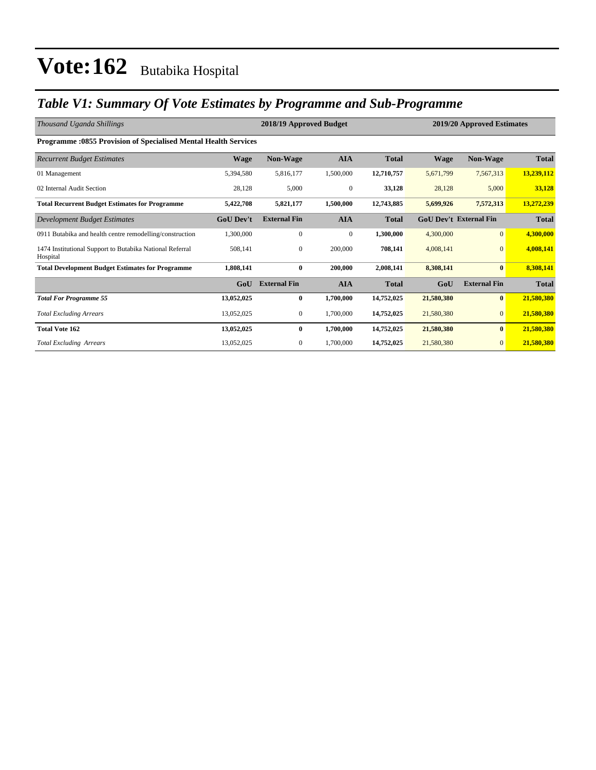### *Table V1: Summary Of Vote Estimates by Programme and Sub-Programme*

| Thousand Uganda Shillings                                              |                  | 2018/19 Approved Budget |              |              | 2019/20 Approved Estimates |                               |              |
|------------------------------------------------------------------------|------------------|-------------------------|--------------|--------------|----------------------------|-------------------------------|--------------|
| <b>Programme: 0855 Provision of Specialised Mental Health Services</b> |                  |                         |              |              |                            |                               |              |
| <b>Recurrent Budget Estimates</b>                                      | Wage             | <b>Non-Wage</b>         | <b>AIA</b>   | <b>Total</b> | <b>Wage</b>                | <b>Non-Wage</b>               | <b>Total</b> |
| 01 Management                                                          | 5,394,580        | 5,816,177               | 1,500,000    | 12,710,757   | 5,671,799                  | 7,567,313                     | 13,239,112   |
| 02 Internal Audit Section                                              | 28,128           | 5,000                   | $\mathbf{0}$ | 33,128       | 28,128                     | 5,000                         | 33,128       |
| <b>Total Recurrent Budget Estimates for Programme</b>                  | 5,422,708        | 5,821,177               | 1,500,000    | 12,743,885   | 5,699,926                  | 7,572,313                     | 13,272,239   |
| Development Budget Estimates                                           | <b>GoU Dev't</b> | <b>External Fin</b>     | <b>AIA</b>   | <b>Total</b> |                            | <b>GoU Dev't External Fin</b> | <b>Total</b> |
| 0911 Butabika and health centre remodelling/construction               | 1,300,000        | $\mathbf{0}$            | $\mathbf{0}$ | 1,300,000    | 4,300,000                  | $\overline{0}$                | 4,300,000    |
| 1474 Institutional Support to Butabika National Referral<br>Hospital   | 508,141          | $\mathbf{0}$            | 200,000      | 708,141      | 4,008,141                  | $\mathbf{0}$                  | 4,008,141    |
| <b>Total Development Budget Estimates for Programme</b>                | 1,808,141        | $\bf{0}$                | 200,000      | 2,008,141    | 8,308,141                  | $\bf{0}$                      | 8,308,141    |
|                                                                        | GoU              | <b>External Fin</b>     | <b>AIA</b>   | <b>Total</b> | GoU                        | <b>External Fin</b>           | <b>Total</b> |
| <b>Total For Programme 55</b>                                          | 13,052,025       | $\bf{0}$                | 1,700,000    | 14,752,025   | 21,580,380                 | $\bf{0}$                      | 21,580,380   |
| <b>Total Excluding Arrears</b>                                         | 13,052,025       | 0                       | 1,700,000    | 14,752,025   | 21,580,380                 | $\mathbf{0}$                  | 21,580,380   |
| <b>Total Vote 162</b>                                                  | 13,052,025       | $\bf{0}$                | 1,700,000    | 14,752,025   | 21,580,380                 | $\bf{0}$                      | 21,580,380   |
| <b>Total Excluding Arrears</b>                                         | 13,052,025       | $\overline{0}$          | 1,700,000    | 14,752,025   | 21,580,380                 | $\mathbf{0}$                  | 21,580,380   |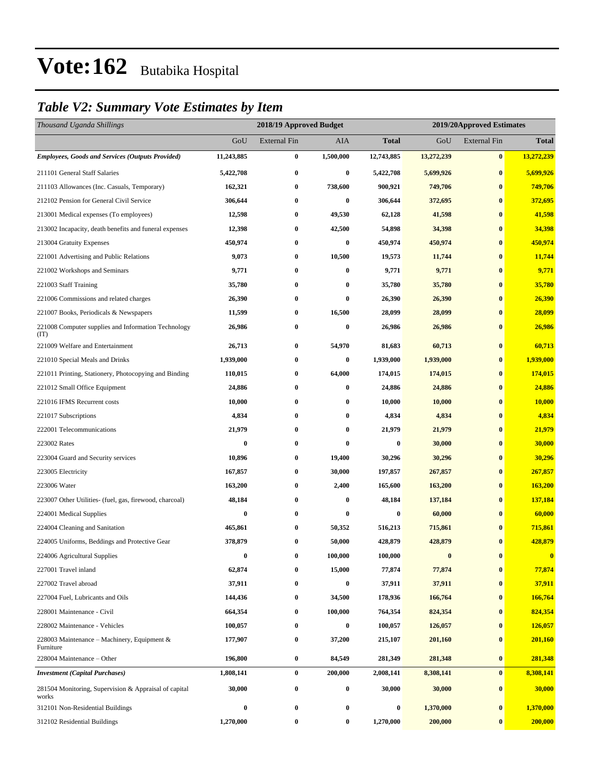### *Table V2: Summary Vote Estimates by Item*

| Thousand Uganda Shillings                                      |            | 2018/19 Approved Budget |           | 2019/20Approved Estimates |            |                     |              |  |  |
|----------------------------------------------------------------|------------|-------------------------|-----------|---------------------------|------------|---------------------|--------------|--|--|
|                                                                | GoU        | <b>External Fin</b>     | AIA       | <b>Total</b>              | GoU        | <b>External Fin</b> | <b>Total</b> |  |  |
| <b>Employees, Goods and Services (Outputs Provided)</b>        | 11,243,885 | 0                       | 1,500,000 | 12,743,885                | 13,272,239 | $\bf{0}$            | 13,272,239   |  |  |
| 211101 General Staff Salaries                                  | 5,422,708  | $\bf{0}$                | $\bf{0}$  | 5,422,708                 | 5,699,926  | $\bf{0}$            | 5,699,926    |  |  |
| 211103 Allowances (Inc. Casuals, Temporary)                    | 162,321    | $\boldsymbol{0}$        | 738,600   | 900,921                   | 749,706    | $\bf{0}$            | 749,706      |  |  |
| 212102 Pension for General Civil Service                       | 306,644    | $\bf{0}$                | $\bf{0}$  | 306,644                   | 372,695    | $\bf{0}$            | 372,695      |  |  |
| 213001 Medical expenses (To employees)                         | 12,598     | $\bf{0}$                | 49,530    | 62,128                    | 41,598     | $\bf{0}$            | 41,598       |  |  |
| 213002 Incapacity, death benefits and funeral expenses         | 12,398     | $\bf{0}$                | 42,500    | 54,898                    | 34,398     | $\bf{0}$            | 34,398       |  |  |
| 213004 Gratuity Expenses                                       | 450,974    | $\bf{0}$                | $\bf{0}$  | 450,974                   | 450,974    | $\bf{0}$            | 450,974      |  |  |
| 221001 Advertising and Public Relations                        | 9,073      | $\bf{0}$                | 10,500    | 19,573                    | 11,744     | $\bf{0}$            | 11,744       |  |  |
| 221002 Workshops and Seminars                                  | 9,771      | $\bf{0}$                | $\bf{0}$  | 9,771                     | 9,771      | $\bf{0}$            | 9,771        |  |  |
| 221003 Staff Training                                          | 35,780     | $\bf{0}$                | $\bf{0}$  | 35,780                    | 35,780     | $\bf{0}$            | 35,780       |  |  |
| 221006 Commissions and related charges                         | 26,390     | $\bf{0}$                | $\bf{0}$  | 26,390                    | 26,390     | $\bf{0}$            | 26,390       |  |  |
| 221007 Books, Periodicals & Newspapers                         | 11,599     | $\bf{0}$                | 16,500    | 28,099                    | 28,099     | $\bf{0}$            | 28,099       |  |  |
| 221008 Computer supplies and Information Technology<br>(TT)    | 26,986     | $\bf{0}$                | $\bf{0}$  | 26,986                    | 26,986     | $\bf{0}$            | 26,986       |  |  |
| 221009 Welfare and Entertainment                               | 26,713     | $\bf{0}$                | 54,970    | 81,683                    | 60,713     | $\bf{0}$            | 60,713       |  |  |
| 221010 Special Meals and Drinks                                | 1,939,000  | $\bf{0}$                | $\bf{0}$  | 1,939,000                 | 1,939,000  | $\bf{0}$            | 1,939,000    |  |  |
| 221011 Printing, Stationery, Photocopying and Binding          | 110,015    | $\bf{0}$                | 64,000    | 174,015                   | 174,015    | $\bf{0}$            | 174,015      |  |  |
| 221012 Small Office Equipment                                  | 24,886     | $\bf{0}$                | $\bf{0}$  | 24,886                    | 24,886     | $\bf{0}$            | 24,886       |  |  |
| 221016 IFMS Recurrent costs                                    | 10,000     | $\bf{0}$                | $\bf{0}$  | 10,000                    | 10,000     | $\bf{0}$            | 10,000       |  |  |
| 221017 Subscriptions                                           | 4,834      | $\bf{0}$                | $\bf{0}$  | 4,834                     | 4,834      | $\bf{0}$            | 4,834        |  |  |
| 222001 Telecommunications                                      | 21,979     | $\bf{0}$                | $\bf{0}$  | 21,979                    | 21,979     | $\bf{0}$            | 21,979       |  |  |
| 223002 Rates                                                   | $\bf{0}$   | $\bf{0}$                | $\bf{0}$  | $\bf{0}$                  | 30,000     | $\bf{0}$            | 30,000       |  |  |
| 223004 Guard and Security services                             | 10,896     | $\bf{0}$                | 19,400    | 30,296                    | 30,296     | $\bf{0}$            | 30,296       |  |  |
| 223005 Electricity                                             | 167,857    | $\bf{0}$                | 30,000    | 197,857                   | 267,857    | $\bf{0}$            | 267,857      |  |  |
| 223006 Water                                                   | 163,200    | $\bf{0}$                | 2,400     | 165,600                   | 163,200    | $\bf{0}$            | 163,200      |  |  |
| 223007 Other Utilities- (fuel, gas, firewood, charcoal)        | 48,184     | $\bf{0}$                | $\bf{0}$  | 48,184                    | 137,184    | $\bf{0}$            | 137,184      |  |  |
| 224001 Medical Supplies                                        | 0          | $\bf{0}$                | $\bf{0}$  | $\boldsymbol{0}$          | 60,000     | $\bf{0}$            | 60,000       |  |  |
| 224004 Cleaning and Sanitation                                 | 465,861    | $\bf{0}$                | 50,352    | 516,213                   | 715,861    | $\bf{0}$            | 715,861      |  |  |
| 224005 Uniforms, Beddings and Protective Gear                  | 378,879    | $\bf{0}$                | 50,000    | 428,879                   | 428,879    | $\bf{0}$            | 428,879      |  |  |
| 224006 Agricultural Supplies                                   | $\bf{0}$   | $\pmb{0}$               | 100,000   | 100,000                   | $\bf{0}$   | $\pmb{0}$           | $\bf{0}$     |  |  |
| 227001 Travel inland                                           | 62,874     | $\bf{0}$                | 15,000    | 77,874                    | 77,874     | $\bf{0}$            | 77,874       |  |  |
| 227002 Travel abroad                                           | 37,911     | $\bf{0}$                | $\bf{0}$  | 37,911                    | 37,911     | $\bf{0}$            | 37,911       |  |  |
| 227004 Fuel, Lubricants and Oils                               | 144,436    | $\boldsymbol{0}$        | 34,500    | 178,936                   | 166,764    | $\bf{0}$            | 166,764      |  |  |
| 228001 Maintenance - Civil                                     | 664,354    | $\boldsymbol{0}$        | 100,000   | 764,354                   | 824,354    | $\boldsymbol{0}$    | 824,354      |  |  |
| 228002 Maintenance - Vehicles                                  | 100,057    | $\boldsymbol{0}$        | $\bf{0}$  | 100,057                   | 126,057    | $\bf{0}$            | 126,057      |  |  |
| 228003 Maintenance – Machinery, Equipment $\&$<br>Furniture    | 177,907    | $\boldsymbol{0}$        | 37,200    | 215,107                   | 201,160    | $\bf{0}$            | 201,160      |  |  |
| 228004 Maintenance – Other                                     | 196,800    | $\bf{0}$                | 84,549    | 281,349                   | 281,348    | $\bf{0}$            | 281,348      |  |  |
| <b>Investment</b> (Capital Purchases)                          | 1,808,141  | $\bf{0}$                | 200,000   | 2,008,141                 | 8,308,141  | $\bf{0}$            | 8,308,141    |  |  |
| 281504 Monitoring, Supervision & Appraisal of capital<br>works | 30,000     | $\bf{0}$                | $\bf{0}$  | 30,000                    | 30,000     | $\bf{0}$            | 30,000       |  |  |
| 312101 Non-Residential Buildings                               | 0          | $\boldsymbol{0}$        | $\bf{0}$  | 0                         | 1,370,000  | $\bf{0}$            | 1,370,000    |  |  |
| 312102 Residential Buildings                                   | 1,270,000  | $\bf{0}$                | $\bf{0}$  | 1,270,000                 | 200,000    | $\bf{0}$            | 200,000      |  |  |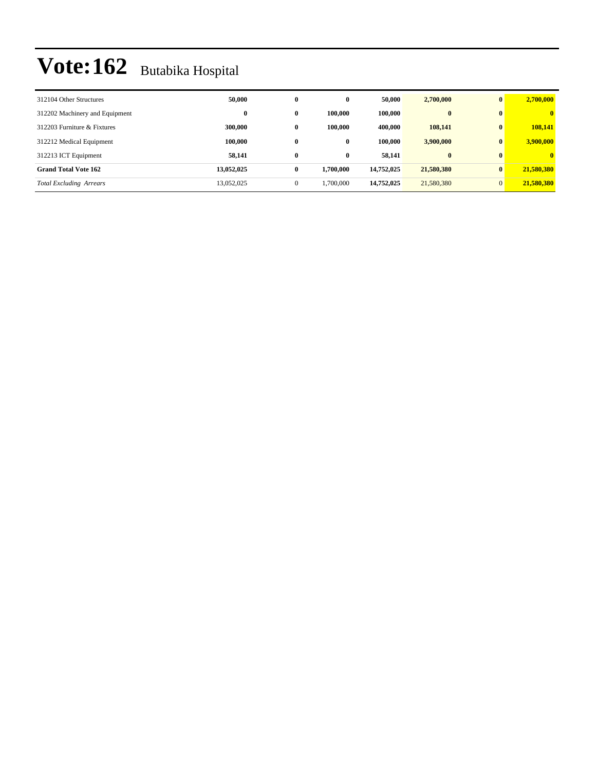| 312104 Other Structures        | 50,000     | $\bf{0}$ | $\bf{0}$  | 50,000     | 2,700,000  | $\mathbf{0}$ | 2,700,000    |
|--------------------------------|------------|----------|-----------|------------|------------|--------------|--------------|
| 312202 Machinery and Equipment | $\bf{0}$   | 0        | 100.000   | 100.000    | $\bf{0}$   | $\mathbf{0}$ | $\mathbf{0}$ |
| 312203 Furniture & Fixtures    | 300,000    | 0        | 100.000   | 400.000    | 108,141    | $\mathbf{0}$ | 108,141      |
| 312212 Medical Equipment       | 100,000    | $\bf{0}$ | 0         | 100.000    | 3,900,000  | $\mathbf{0}$ | 3,900,000    |
| 312213 ICT Equipment           | 58.141     | 0        | 0         | 58.141     | $\bf{0}$   | $\mathbf{0}$ | $\mathbf{0}$ |
| <b>Grand Total Vote 162</b>    | 13,052,025 | $\bf{0}$ | 1,700,000 | 14,752,025 | 21,580,380 | $\mathbf{0}$ | 21,580,380   |
| <b>Total Excluding Arrears</b> | 13,052,025 | 0        | 1,700,000 | 14,752,025 | 21,580,380 | $\Omega$     | 21,580,380   |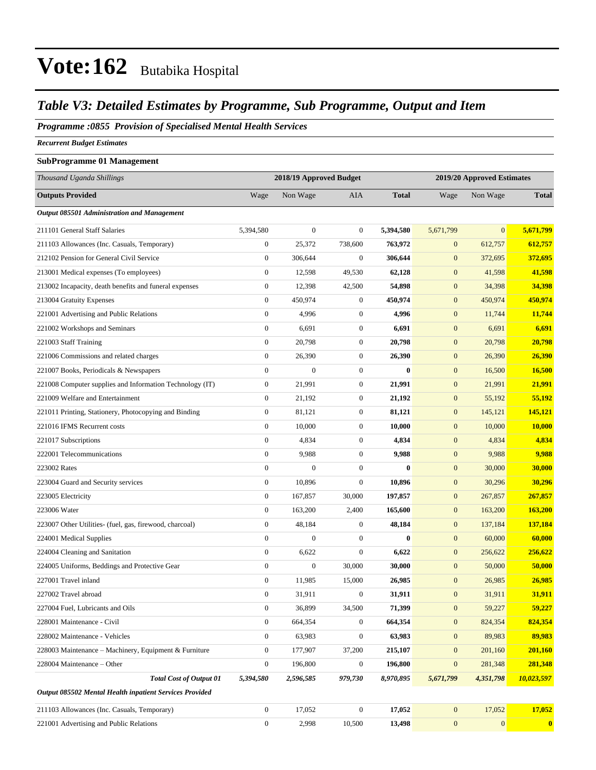### *Table V3: Detailed Estimates by Programme, Sub Programme, Output and Item*

#### *Programme :0855 Provision of Specialised Mental Health Services*

*Recurrent Budget Estimates*

#### **SubProgramme 01 Management**

| Thousand Uganda Shillings                                |                  | 2018/19 Approved Budget |                  |              |                  | 2019/20 Approved Estimates |                  |
|----------------------------------------------------------|------------------|-------------------------|------------------|--------------|------------------|----------------------------|------------------|
| <b>Outputs Provided</b>                                  | Wage             | Non Wage                | <b>AIA</b>       | <b>Total</b> | Wage             | Non Wage                   | <b>Total</b>     |
| Output 085501 Administration and Management              |                  |                         |                  |              |                  |                            |                  |
| 211101 General Staff Salaries                            | 5,394,580        | $\boldsymbol{0}$        | $\mathbf{0}$     | 5,394,580    | 5,671,799        | $\overline{0}$             | 5,671,799        |
| 211103 Allowances (Inc. Casuals, Temporary)              | $\boldsymbol{0}$ | 25,372                  | 738,600          | 763,972      | $\boldsymbol{0}$ | 612,757                    | 612,757          |
| 212102 Pension for General Civil Service                 | $\boldsymbol{0}$ | 306,644                 | $\boldsymbol{0}$ | 306,644      | $\mathbf{0}$     | 372,695                    | 372,695          |
| 213001 Medical expenses (To employees)                   | $\boldsymbol{0}$ | 12,598                  | 49,530           | 62,128       | $\mathbf{0}$     | 41,598                     | 41,598           |
| 213002 Incapacity, death benefits and funeral expenses   | $\mathbf{0}$     | 12,398                  | 42,500           | 54,898       | $\mathbf{0}$     | 34,398                     | 34,398           |
| 213004 Gratuity Expenses                                 | $\boldsymbol{0}$ | 450,974                 | $\mathbf{0}$     | 450,974      | $\boldsymbol{0}$ | 450,974                    | 450,974          |
| 221001 Advertising and Public Relations                  | $\boldsymbol{0}$ | 4,996                   | $\boldsymbol{0}$ | 4,996        | $\boldsymbol{0}$ | 11,744                     | 11,744           |
| 221002 Workshops and Seminars                            | $\boldsymbol{0}$ | 6,691                   | $\mathbf{0}$     | 6,691        | $\mathbf{0}$     | 6,691                      | 6,691            |
| 221003 Staff Training                                    | $\boldsymbol{0}$ | 20,798                  | $\mathbf{0}$     | 20,798       | $\mathbf{0}$     | 20,798                     | 20,798           |
| 221006 Commissions and related charges                   | $\mathbf{0}$     | 26,390                  | $\boldsymbol{0}$ | 26,390       | $\mathbf{0}$     | 26,390                     | 26,390           |
| 221007 Books, Periodicals & Newspapers                   | $\boldsymbol{0}$ | $\boldsymbol{0}$        | $\boldsymbol{0}$ | $\bf{0}$     | $\boldsymbol{0}$ | 16,500                     | 16,500           |
| 221008 Computer supplies and Information Technology (IT) | $\boldsymbol{0}$ | 21,991                  | $\mathbf{0}$     | 21,991       | $\mathbf{0}$     | 21,991                     | 21,991           |
| 221009 Welfare and Entertainment                         | $\boldsymbol{0}$ | 21,192                  | $\boldsymbol{0}$ | 21,192       | $\mathbf{0}$     | 55,192                     | 55,192           |
| 221011 Printing, Stationery, Photocopying and Binding    | $\boldsymbol{0}$ | 81,121                  | $\mathbf{0}$     | 81,121       | $\mathbf{0}$     | 145,121                    | 145,121          |
| 221016 IFMS Recurrent costs                              | $\mathbf{0}$     | 10,000                  | $\mathbf{0}$     | 10,000       | $\mathbf{0}$     | 10,000                     | 10,000           |
| 221017 Subscriptions                                     | $\mathbf{0}$     | 4,834                   | $\mathbf{0}$     | 4,834        | $\boldsymbol{0}$ | 4,834                      | 4,834            |
| 222001 Telecommunications                                | $\boldsymbol{0}$ | 9,988                   | $\mathbf{0}$     | 9,988        | $\mathbf{0}$     | 9,988                      | 9,988            |
| 223002 Rates                                             | $\boldsymbol{0}$ | $\overline{0}$          | $\boldsymbol{0}$ | $\mathbf{0}$ | $\mathbf{0}$     | 30,000                     | 30,000           |
| 223004 Guard and Security services                       | $\mathbf{0}$     | 10,896                  | $\mathbf{0}$     | 10,896       | $\mathbf{0}$     | 30,296                     | 30,296           |
| 223005 Electricity                                       | $\mathbf{0}$     | 167,857                 | 30,000           | 197,857      | $\mathbf{0}$     | 267,857                    | 267,857          |
| 223006 Water                                             | $\mathbf{0}$     | 163,200                 | 2,400            | 165,600      | $\boldsymbol{0}$ | 163,200                    | 163,200          |
| 223007 Other Utilities- (fuel, gas, firewood, charcoal)  | $\boldsymbol{0}$ | 48,184                  | $\boldsymbol{0}$ | 48,184       | $\boldsymbol{0}$ | 137,184                    | 137,184          |
| 224001 Medical Supplies                                  | $\boldsymbol{0}$ | $\overline{0}$          | $\boldsymbol{0}$ | $\bf{0}$     | $\mathbf{0}$     | 60,000                     | 60,000           |
| 224004 Cleaning and Sanitation                           | $\mathbf{0}$     | 6,622                   | $\mathbf{0}$     | 6,622        | $\mathbf{0}$     | 256,622                    | 256,622          |
| 224005 Uniforms, Beddings and Protective Gear            | $\boldsymbol{0}$ | $\boldsymbol{0}$        | 30,000           | 30,000       | $\boldsymbol{0}$ | 50,000                     | 50,000           |
| 227001 Travel inland                                     | $\mathbf{0}$     | 11,985                  | 15,000           | 26,985       | $\boldsymbol{0}$ | 26,985                     | 26,985           |
| 227002 Travel abroad                                     | $\boldsymbol{0}$ | 31,911                  | $\boldsymbol{0}$ | 31,911       | $\mathbf{0}$     | 31,911                     | 31,911           |
| 227004 Fuel, Lubricants and Oils                         | 0                | 36,899                  | 34,500           | 71,399       | $\mathbf{0}$     | 59,227                     | <u>59,227</u>    |
| 228001 Maintenance - Civil                               | $\overline{0}$   | 664,354                 | $\mathbf{0}$     | 664,354      | $\boldsymbol{0}$ | 824,354                    | 824,354          |
| 228002 Maintenance - Vehicles                            | $\overline{0}$   | 63,983                  | $\boldsymbol{0}$ | 63,983       | $\mathbf{0}$     | 89,983                     | 89,983           |
| 228003 Maintenance – Machinery, Equipment & Furniture    | $\overline{0}$   | 177,907                 | 37,200           | 215,107      | $\boldsymbol{0}$ | 201,160                    | 201,160          |
| 228004 Maintenance - Other                               | $\boldsymbol{0}$ | 196,800                 | $\boldsymbol{0}$ | 196,800      | $\boldsymbol{0}$ | 281,348                    | 281,348          |
| <b>Total Cost of Output 01</b>                           | 5,394,580        | 2,596,585               | 979,730          | 8,970,895    | 5,671,799        | 4,351,798                  | 10,023,597       |
| Output 085502 Mental Health inpatient Services Provided  |                  |                         |                  |              |                  |                            |                  |
| 211103 Allowances (Inc. Casuals, Temporary)              | $\boldsymbol{0}$ | 17,052                  | $\mathbf{0}$     | 17,052       | $\mathbf{0}$     | 17,052                     | 17,052           |
| 221001 Advertising and Public Relations                  | $\boldsymbol{0}$ | 2,998                   | 10,500           | 13,498       | $\mathbf{0}$     | $\mathbf{0}$               | $\boldsymbol{0}$ |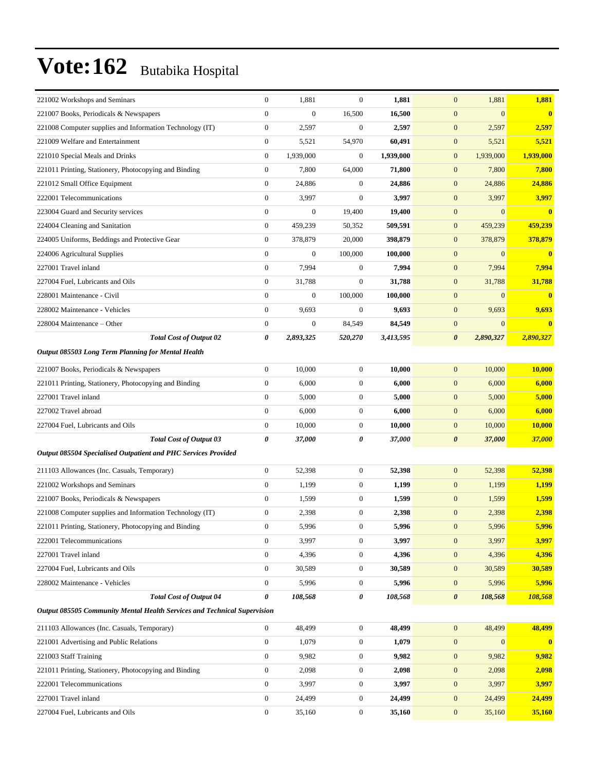| 221002 Workshops and Seminars                                            | $\boldsymbol{0}$ | 1,881            | $\mathbf{0}$     | 1,881     | $\mathbf{0}$<br>1,881              | 1,881     |
|--------------------------------------------------------------------------|------------------|------------------|------------------|-----------|------------------------------------|-----------|
| 221007 Books, Periodicals & Newspapers                                   | $\mathbf{0}$     | $\boldsymbol{0}$ | 16,500           | 16,500    | $\mathbf{0}$<br>$\overline{0}$     | $\bf{0}$  |
| 221008 Computer supplies and Information Technology (IT)                 | $\boldsymbol{0}$ | 2,597            | $\boldsymbol{0}$ | 2,597     | $\boldsymbol{0}$<br>2,597          | 2,597     |
| 221009 Welfare and Entertainment                                         | $\boldsymbol{0}$ | 5,521            | 54,970           | 60,491    | $\mathbf{0}$<br>5,521              | 5,521     |
| 221010 Special Meals and Drinks                                          | $\boldsymbol{0}$ | 1,939,000        | $\mathbf{0}$     | 1,939,000 | $\mathbf{0}$<br>1,939,000          | 1,939,000 |
| 221011 Printing, Stationery, Photocopying and Binding                    | $\mathbf{0}$     | 7,800            | 64,000           | 71,800    | 7,800<br>$\mathbf{0}$              | 7,800     |
| 221012 Small Office Equipment                                            | $\mathbf{0}$     | 24,886           | $\boldsymbol{0}$ | 24,886    | $\boldsymbol{0}$<br>24,886         | 24,886    |
| 222001 Telecommunications                                                | $\mathbf{0}$     | 3,997            | $\boldsymbol{0}$ | 3,997     | $\mathbf{0}$<br>3,997              | 3,997     |
| 223004 Guard and Security services                                       | $\boldsymbol{0}$ | $\boldsymbol{0}$ | 19,400           | 19,400    | $\mathbf{0}$<br>$\overline{0}$     | $\bf{0}$  |
| 224004 Cleaning and Sanitation                                           | $\mathbf{0}$     | 459,239          | 50,352           | 509,591   | $\boldsymbol{0}$<br>459,239        | 459,239   |
| 224005 Uniforms, Beddings and Protective Gear                            | $\boldsymbol{0}$ | 378,879          | 20,000           | 398,879   | 378,879<br>$\mathbf{0}$            | 378,879   |
| 224006 Agricultural Supplies                                             | $\mathbf{0}$     | $\boldsymbol{0}$ | 100,000          | 100,000   | $\boldsymbol{0}$<br>$\mathbf{0}$   | $\bf{0}$  |
| 227001 Travel inland                                                     | $\mathbf{0}$     | 7,994            | $\boldsymbol{0}$ | 7,994     | $\boldsymbol{0}$<br>7,994          | 7,994     |
| 227004 Fuel, Lubricants and Oils                                         | $\boldsymbol{0}$ | 31,788           | $\boldsymbol{0}$ | 31,788    | $\mathbf{0}$<br>31,788             | 31,788    |
| 228001 Maintenance - Civil                                               | $\mathbf{0}$     | $\boldsymbol{0}$ | 100,000          | 100,000   | $\mathbf{0}$<br>$\overline{0}$     | $\bf{0}$  |
| 228002 Maintenance - Vehicles                                            | $\boldsymbol{0}$ | 9,693            | $\mathbf{0}$     | 9,693     | 9,693<br>$\mathbf{0}$              | 9,693     |
| 228004 Maintenance - Other                                               | $\overline{0}$   | $\boldsymbol{0}$ | 84,549           | 84,549    | $\boldsymbol{0}$<br>$\overline{0}$ | $\bf{0}$  |
| <b>Total Cost of Output 02</b>                                           | 0                | 2,893,325        | 520,270          | 3,413,595 | $\boldsymbol{\theta}$<br>2,890,327 | 2,890,327 |
| <b>Output 085503 Long Term Planning for Mental Health</b>                |                  |                  |                  |           |                                    |           |
| 221007 Books, Periodicals & Newspapers                                   | $\boldsymbol{0}$ | 10,000           | $\boldsymbol{0}$ | 10,000    | $\mathbf{0}$<br>10,000             | 10,000    |
| 221011 Printing, Stationery, Photocopying and Binding                    | $\boldsymbol{0}$ | 6,000            | $\boldsymbol{0}$ | 6,000     | $\mathbf{0}$<br>6,000              | 6,000     |
| 227001 Travel inland                                                     | $\boldsymbol{0}$ | 5,000            | $\boldsymbol{0}$ | 5,000     | 5,000<br>$\mathbf{0}$              | 5,000     |
| 227002 Travel abroad                                                     | $\mathbf{0}$     | 6,000            | $\boldsymbol{0}$ | 6,000     | $\boldsymbol{0}$<br>6,000          | 6,000     |
| 227004 Fuel, Lubricants and Oils                                         | $\boldsymbol{0}$ | 10,000           | $\boldsymbol{0}$ | 10,000    | $\boldsymbol{0}$<br>10,000         | 10,000    |
| <b>Total Cost of Output 03</b>                                           | 0                | 37,000           | 0                | 37,000    | $\boldsymbol{\theta}$<br>37,000    | 37,000    |
| Output 085504 Specialised Outpatient and PHC Services Provided           |                  |                  |                  |           |                                    |           |
| 211103 Allowances (Inc. Casuals, Temporary)                              | $\boldsymbol{0}$ | 52,398           | $\boldsymbol{0}$ | 52,398    | $\mathbf{0}$<br>52,398             | 52,398    |
| 221002 Workshops and Seminars                                            | $\boldsymbol{0}$ | 1,199            | $\boldsymbol{0}$ | 1,199     | 1,199<br>$\mathbf{0}$              | 1,199     |
| 221007 Books, Periodicals & Newspapers                                   | $\overline{0}$   | 1,599            | $\boldsymbol{0}$ | 1,599     | $\mathbf{0}$<br>1,599              | 1,599     |
| 221008 Computer supplies and Information Technology (IT)                 | $\boldsymbol{0}$ | 2,398            | $\boldsymbol{0}$ | 2,398     | $\mathbf{0}$<br>2,398              | 2,398     |
| 221011 Printing, Stationery, Photocopying and Binding                    | $\boldsymbol{0}$ | 5,996            | 0                | 5,996     | 5,996<br>$\mathbf{0}$              | 5,996     |
| 222001 Telecommunications                                                | $\boldsymbol{0}$ | 3,997            | $\boldsymbol{0}$ | 3,997     | 3,997<br>$\mathbf{0}$              | 3,997     |
| 227001 Travel inland                                                     | $\boldsymbol{0}$ | 4,396            | $\boldsymbol{0}$ | 4,396     | 4,396<br>$\mathbf{0}$              | 4,396     |
| 227004 Fuel, Lubricants and Oils                                         | $\boldsymbol{0}$ | 30,589           | $\boldsymbol{0}$ | 30,589    | $\boldsymbol{0}$<br>30,589         | 30,589    |
| 228002 Maintenance - Vehicles                                            | $\boldsymbol{0}$ | 5,996            | $\boldsymbol{0}$ | 5,996     | 5,996<br>$\mathbf{0}$              | 5,996     |
| <b>Total Cost of Output 04</b>                                           | 0                | 108,568          | 0                | 108,568   | $\boldsymbol{\theta}$<br>108,568   | 108,568   |
| Output 085505 Community Mental Health Services and Technical Supervision |                  |                  |                  |           |                                    |           |
| 211103 Allowances (Inc. Casuals, Temporary)                              | $\overline{0}$   | 48,499           | $\boldsymbol{0}$ | 48,499    | $\mathbf{0}$<br>48,499             | 48,499    |
| 221001 Advertising and Public Relations                                  | $\mathbf{0}$     | 1,079            | $\boldsymbol{0}$ | 1,079     | $\mathbf{0}$<br>$\mathbf{0}$       | $\bf{0}$  |
| 221003 Staff Training                                                    | $\boldsymbol{0}$ | 9,982            | $\boldsymbol{0}$ | 9,982     | $\boldsymbol{0}$<br>9,982          | 9,982     |
| 221011 Printing, Stationery, Photocopying and Binding                    | $\boldsymbol{0}$ | 2,098            | 0                | 2,098     | 2,098<br>$\mathbf{0}$              | 2,098     |
| 222001 Telecommunications                                                | $\boldsymbol{0}$ | 3,997            | $\boldsymbol{0}$ | 3,997     | 3,997<br>$\mathbf{0}$              | 3,997     |
| 227001 Travel inland                                                     | $\boldsymbol{0}$ | 24,499           | $\boldsymbol{0}$ | 24,499    | 24,499<br>$\mathbf{0}$             | 24,499    |
| 227004 Fuel, Lubricants and Oils                                         | $\boldsymbol{0}$ | 35,160           | $\boldsymbol{0}$ | 35,160    | $\boldsymbol{0}$<br>35,160         | 35,160    |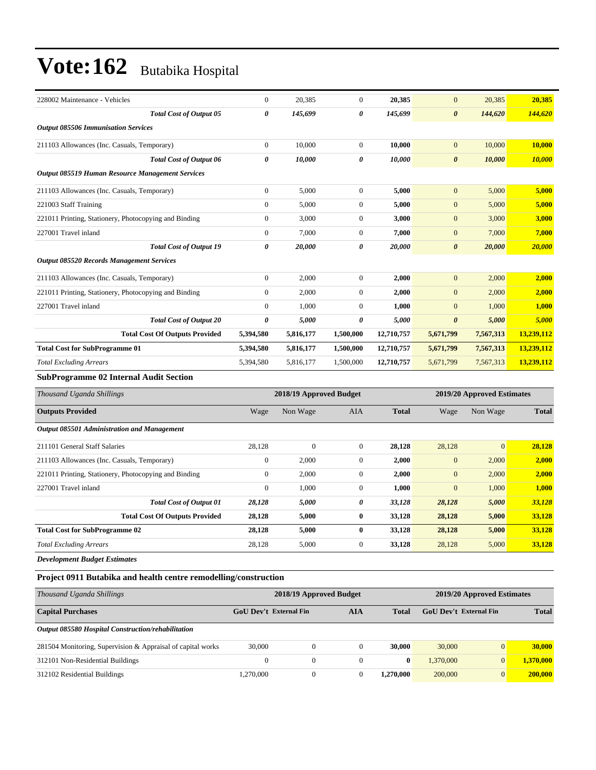| 228002 Maintenance - Vehicles                         | $\Omega$       | 20,385    | $\overline{0}$        | 20,385     | $\mathbf{0}$          | 20,385    | 20,385     |
|-------------------------------------------------------|----------------|-----------|-----------------------|------------|-----------------------|-----------|------------|
| <b>Total Cost of Output 05</b>                        | 0              | 145,699   | $\boldsymbol{\theta}$ | 145,699    | $\boldsymbol{\theta}$ | 144,620   | 144,620    |
| <b>Output 085506 Immunisation Services</b>            |                |           |                       |            |                       |           |            |
| 211103 Allowances (Inc. Casuals, Temporary)           | $\Omega$       | 10,000    | $\overline{0}$        | 10,000     | $\mathbf{0}$          | 10,000    | 10,000     |
| <b>Total Cost of Output 06</b>                        | 0              | 10,000    | $\boldsymbol{\theta}$ | 10,000     | $\boldsymbol{\theta}$ | 10,000    | 10,000     |
| Output 085519 Human Resource Management Services      |                |           |                       |            |                       |           |            |
| 211103 Allowances (Inc. Casuals, Temporary)           | $\overline{0}$ | 5,000     | $\overline{0}$        | 5,000      | $\overline{0}$        | 5,000     | 5,000      |
| 221003 Staff Training                                 | $\Omega$       | 5,000     | $\theta$              | 5,000      | $\overline{0}$        | 5,000     | 5,000      |
| 221011 Printing, Stationery, Photocopying and Binding | $\overline{0}$ | 3,000     | $\boldsymbol{0}$      | 3,000      | $\mathbf{0}$          | 3,000     | 3,000      |
| 227001 Travel inland                                  | $\overline{0}$ | 7,000     | $\boldsymbol{0}$      | 7,000      | $\overline{0}$        | 7,000     | 7,000      |
| <b>Total Cost of Output 19</b>                        | 0              | 20,000    | 0                     | 20,000     | $\boldsymbol{\theta}$ | 20,000    | 20,000     |
| <b>Output 085520 Records Management Services</b>      |                |           |                       |            |                       |           |            |
| 211103 Allowances (Inc. Casuals, Temporary)           | $\Omega$       | 2,000     | $\boldsymbol{0}$      | 2,000      | $\overline{0}$        | 2,000     | 2,000      |
| 221011 Printing, Stationery, Photocopying and Binding | 0              | 2,000     | $\boldsymbol{0}$      | 2,000      | $\mathbf{0}$          | 2,000     | 2,000      |
| 227001 Travel inland                                  | $\Omega$       | 1,000     | $\theta$              | 1,000      | $\overline{0}$        | 1,000     | 1,000      |
| <b>Total Cost of Output 20</b>                        | 0              | 5,000     | $\boldsymbol{\theta}$ | 5,000      | $\boldsymbol{\theta}$ | 5,000     | 5,000      |
| <b>Total Cost Of Outputs Provided</b>                 | 5,394,580      | 5,816,177 | 1,500,000             | 12,710,757 | 5,671,799             | 7,567,313 | 13,239,112 |
| <b>Total Cost for SubProgramme 01</b>                 | 5,394,580      | 5,816,177 | 1,500,000             | 12,710,757 | 5,671,799             | 7,567,313 | 13,239,112 |
| <b>Total Excluding Arrears</b>                        | 5,394,580      | 5,816,177 | 1,500,000             | 12,710,757 | 5,671,799             | 7,567,313 | 13,239,112 |
| $\mathbf{r}$ . The $\mathbf{r}$                       |                |           |                       |            |                       |           |            |

#### **SubProgramme 02 Internal Audit Section**

| Thousand Uganda Shillings                             |              | 2018/19 Approved Budget |                | 2019/20 Approved Estimates |              |                |              |
|-------------------------------------------------------|--------------|-------------------------|----------------|----------------------------|--------------|----------------|--------------|
| <b>Outputs Provided</b>                               | Wage         | Non Wage                | <b>AIA</b>     | <b>Total</b>               | Wage         | Non Wage       | <b>Total</b> |
| Output 085501 Administration and Management           |              |                         |                |                            |              |                |              |
| 211101 General Staff Salaries                         | 28,128       | $\Omega$                | $\overline{0}$ | 28,128                     | 28,128       | $\overline{0}$ | 28,128       |
| 211103 Allowances (Inc. Casuals, Temporary)           | $\mathbf{0}$ | 2,000                   | $\mathbf{0}$   | 2,000                      | $\mathbf{0}$ | 2,000          | 2,000        |
| 221011 Printing, Stationery, Photocopying and Binding | $\theta$     | 2,000                   | $\mathbf{0}$   | 2,000                      | $\mathbf{0}$ | 2,000          | 2,000        |
| 227001 Travel inland                                  | $\mathbf{0}$ | 1,000                   | $\overline{0}$ | 1,000                      | $\mathbf{0}$ | 1,000          | 1,000        |
| <b>Total Cost of Output 01</b>                        | 28,128       | 5,000                   | 0              | 33,128                     | 28,128       | 5,000          | 33,128       |
| <b>Total Cost Of Outputs Provided</b>                 | 28,128       | 5,000                   | $\bf{0}$       | 33,128                     | 28,128       | 5,000          | 33,128       |
| <b>Total Cost for SubProgramme 02</b>                 | 28,128       | 5,000                   | $\bf{0}$       | 33,128                     | 28,128       | 5,000          | 33,128       |
| <b>Total Excluding Arrears</b>                        | 28,128       | 5,000                   | $\overline{0}$ | 33,128                     | 28,128       | 5,000          | 33,128       |
| <b>Development Budget Estimates</b>                   |              |                         |                |                            |              |                |              |

**Project 0911 Butabika and health centre remodelling/construction**

| Thousand Uganda Shillings                                   | 2018/19 Approved Budget       | 2019/20 Approved Estimates |     |           |                        |                |              |
|-------------------------------------------------------------|-------------------------------|----------------------------|-----|-----------|------------------------|----------------|--------------|
| <b>Capital Purchases</b>                                    | <b>GoU</b> Dev't External Fin |                            | AIA | Total     | GoU Dev't External Fin |                | <b>Total</b> |
| Output 085580 Hospital Construction/rehabilitation          |                               |                            |     |           |                        |                |              |
| 281504 Monitoring, Supervision & Appraisal of capital works | 30,000                        | 0                          |     | 30,000    | 30,000                 | $\overline{0}$ | 30,000       |
| 312101 Non-Residential Buildings                            | $\overline{0}$                | 0                          |     | $\bf{0}$  | 1.370,000              | $\overline{0}$ | 1.370.000    |
| 312102 Residential Buildings                                | .270.000                      | 0                          |     | 1.270.000 | 200,000                | $\overline{0}$ | 200,000      |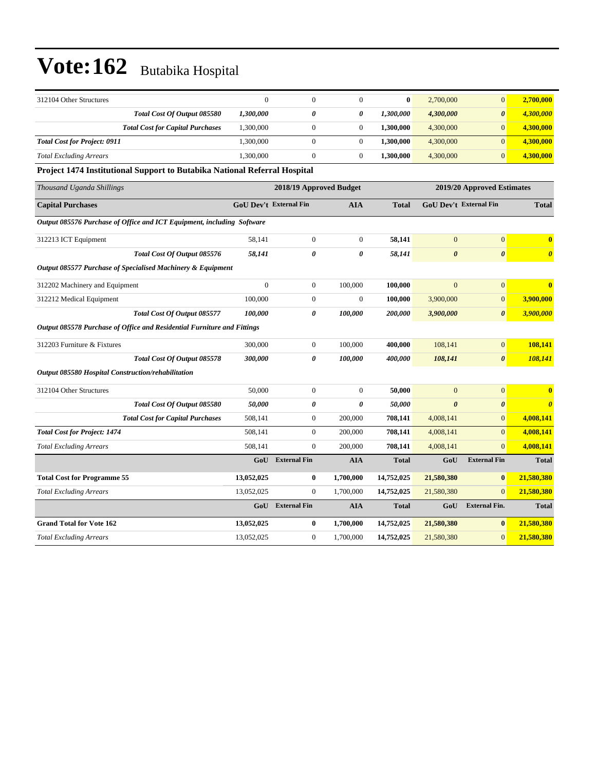| 312104 Other Structures                                                   | $\mathbf{0}$                  | $\mathbf{0}$            | $\mathbf{0}$     | $\bf{0}$     | 2,700,000             | $\mathbf{0}$                  | 2,700,000             |
|---------------------------------------------------------------------------|-------------------------------|-------------------------|------------------|--------------|-----------------------|-------------------------------|-----------------------|
| Total Cost Of Output 085580                                               | 1,300,000                     | 0                       | 0                | 1,300,000    | 4,300,000             | $\boldsymbol{\theta}$         | 4,300,000             |
| <b>Total Cost for Capital Purchases</b>                                   | 1,300,000                     | $\boldsymbol{0}$        | $\mathbf{0}$     | 1,300,000    | 4,300,000             | $\mathbf{0}$                  | 4,300,000             |
| <b>Total Cost for Project: 0911</b>                                       | 1,300,000                     | $\boldsymbol{0}$        | $\boldsymbol{0}$ | 1,300,000    | 4,300,000             | $\mathbf{0}$                  | 4,300,000             |
| <b>Total Excluding Arrears</b>                                            | 1,300,000                     | $\mathbf{0}$            | $\overline{0}$   | 1,300,000    | 4,300,000             | $\overline{0}$                | 4,300,000             |
| Project 1474 Institutional Support to Butabika National Referral Hospital |                               |                         |                  |              |                       |                               |                       |
| Thousand Uganda Shillings                                                 |                               | 2018/19 Approved Budget |                  |              |                       | 2019/20 Approved Estimates    |                       |
| <b>Capital Purchases</b>                                                  | <b>GoU Dev't External Fin</b> |                         | <b>AIA</b>       | <b>Total</b> |                       | <b>GoU Dev't External Fin</b> | <b>Total</b>          |
| Output 085576 Purchase of Office and ICT Equipment, including Software    |                               |                         |                  |              |                       |                               |                       |
| 312213 ICT Equipment                                                      | 58,141                        | $\boldsymbol{0}$        | $\mathbf{0}$     | 58,141       | $\mathbf{0}$          | $\boldsymbol{0}$              | $\bf{0}$              |
| Total Cost Of Output 085576                                               | 58,141                        | 0                       | 0                | 58,141       | $\boldsymbol{\theta}$ | $\boldsymbol{\theta}$         | $\boldsymbol{\theta}$ |
| Output 085577 Purchase of Specialised Machinery & Equipment               |                               |                         |                  |              |                       |                               |                       |
| 312202 Machinery and Equipment                                            | $\overline{0}$                | $\boldsymbol{0}$        | 100,000          | 100,000      | $\overline{0}$        | $\mathbf{0}$                  | $\bf{0}$              |
| 312212 Medical Equipment                                                  | 100,000                       | $\boldsymbol{0}$        | $\boldsymbol{0}$ | 100,000      | 3,900,000             | $\boldsymbol{0}$              | 3,900,000             |
| Total Cost Of Output 085577                                               | 100,000                       | $\boldsymbol{\theta}$   | 100,000          | 200,000      | 3,900,000             | $\boldsymbol{\theta}$         | 3,900,000             |
| Output 085578 Purchase of Office and Residential Furniture and Fittings   |                               |                         |                  |              |                       |                               |                       |
| 312203 Furniture & Fixtures                                               | 300,000                       | $\mathbf{0}$            | 100,000          | 400,000      | 108,141               | $\mathbf{0}$                  | 108,141               |
| Total Cost Of Output 085578                                               | 300,000                       | $\boldsymbol{\theta}$   | 100,000          | 400.000      | 108,141               | $\boldsymbol{\theta}$         | 108,141               |
| Output 085580 Hospital Construction/rehabilitation                        |                               |                         |                  |              |                       |                               |                       |
| 312104 Other Structures                                                   | 50,000                        | $\boldsymbol{0}$        | $\theta$         | 50,000       | $\mathbf{0}$          | $\mathbf{0}$                  | $\bf{0}$              |
| Total Cost Of Output 085580                                               | 50,000                        | 0                       | 0                | 50,000       | $\theta$              | $\boldsymbol{\theta}$         | $\boldsymbol{\theta}$ |
| <b>Total Cost for Capital Purchases</b>                                   | 508,141                       | $\boldsymbol{0}$        | 200,000          | 708,141      | 4,008,141             | $\mathbf{0}$                  | 4,008,141             |
| <b>Total Cost for Project: 1474</b>                                       | 508,141                       | $\boldsymbol{0}$        | 200,000          | 708,141      | 4,008,141             | $\mathbf{0}$                  | 4,008,141             |
| <b>Total Excluding Arrears</b>                                            | 508,141                       | $\mathbf{0}$            | 200,000          | 708,141      | 4,008,141             | $\mathbf{0}$                  | 4,008,141             |
|                                                                           | GoU                           | <b>External Fin</b>     | <b>AIA</b>       | <b>Total</b> | GoU                   | <b>External Fin</b>           | <b>Total</b>          |
| <b>Total Cost for Programme 55</b>                                        | 13,052,025                    | $\bf{0}$                | 1,700,000        | 14,752,025   | 21,580,380            | $\bf{0}$                      | 21,580,380            |
| <b>Total Excluding Arrears</b>                                            | 13,052,025                    | $\mathbf{0}$            | 1,700,000        | 14,752,025   | 21,580,380            | $\mathbf{0}$                  | 21,580,380            |
|                                                                           | GoU                           | <b>External Fin</b>     | <b>AIA</b>       | <b>Total</b> | GoU                   | <b>External Fin.</b>          | <b>Total</b>          |
| <b>Grand Total for Vote 162</b>                                           | 13,052,025                    | $\bf{0}$                | 1,700,000        | 14,752,025   | 21,580,380            | $\bf{0}$                      | 21,580,380            |
| <b>Total Excluding Arrears</b>                                            | 13,052,025                    | $\boldsymbol{0}$        | 1,700,000        | 14,752,025   | 21,580,380            | $\boldsymbol{0}$              | 21,580,380            |
|                                                                           |                               |                         |                  |              |                       |                               |                       |